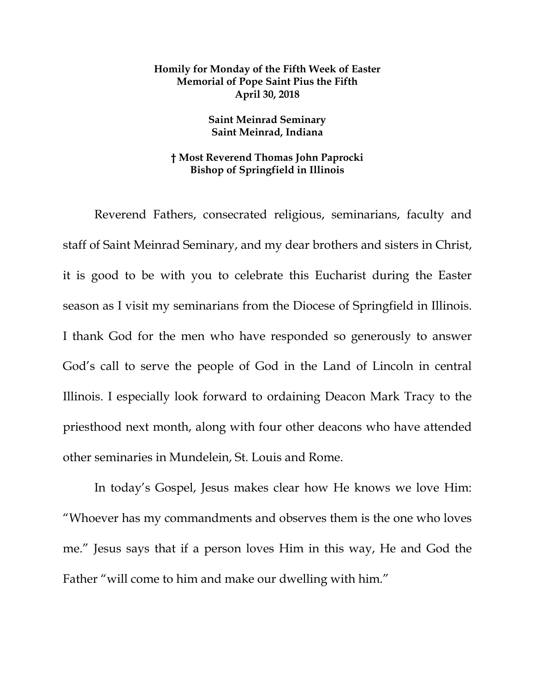## **Homily for Monday of the Fifth Week of Easter Memorial of Pope Saint Pius the Fifth April 30, 2018**

## **Saint Meinrad Seminary Saint Meinrad, Indiana**

## **† Most Reverend Thomas John Paprocki Bishop of Springfield in Illinois**

Reverend Fathers, consecrated religious, seminarians, faculty and staff of Saint Meinrad Seminary, and my dear brothers and sisters in Christ, it is good to be with you to celebrate this Eucharist during the Easter season as I visit my seminarians from the Diocese of Springfield in Illinois. I thank God for the men who have responded so generously to answer God's call to serve the people of God in the Land of Lincoln in central Illinois. I especially look forward to ordaining Deacon Mark Tracy to the priesthood next month, along with four other deacons who have attended other seminaries in Mundelein, St. Louis and Rome.

In today's Gospel, Jesus makes clear how He knows we love Him: "Whoever has my commandments and observes them is the one who loves me." Jesus says that if a person loves Him in this way, He and God the Father "will come to him and make our dwelling with him."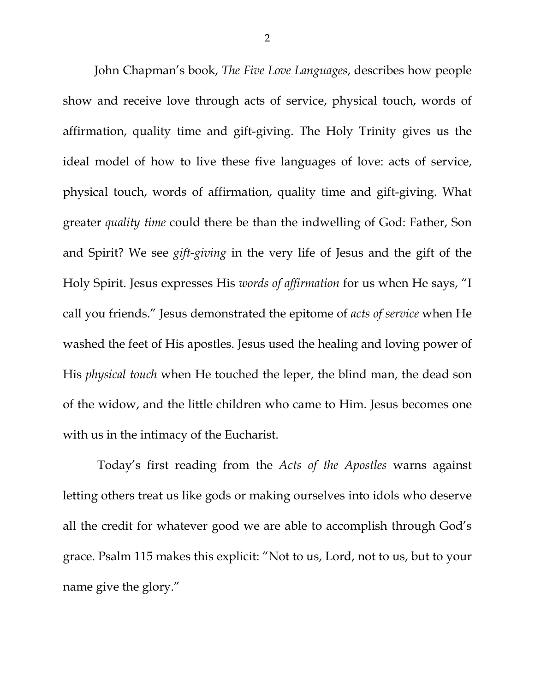John Chapman's book, *The Five Love Languages*, describes how people show and receive love through acts of service, physical touch, words of affirmation, quality time and gift-giving. The Holy Trinity gives us the ideal model of how to live these five languages of love: acts of service, physical touch, words of affirmation, quality time and gift-giving. What greater *quality time* could there be than the indwelling of God: Father, Son and Spirit? We see *gift-giving* in the very life of Jesus and the gift of the Holy Spirit. Jesus expresses His *words of affirmation* for us when He says, "I call you friends." Jesus demonstrated the epitome of *acts of service* when He washed the feet of His apostles. Jesus used the healing and loving power of His *physical touch* when He touched the leper, the blind man, the dead son of the widow, and the little children who came to Him. Jesus becomes one with us in the intimacy of the Eucharist.

Today's first reading from the *Acts of the Apostles* warns against letting others treat us like gods or making ourselves into idols who deserve all the credit for whatever good we are able to accomplish through God's grace. Psalm 115 makes this explicit: "Not to us, Lord, not to us, but to your name give the glory."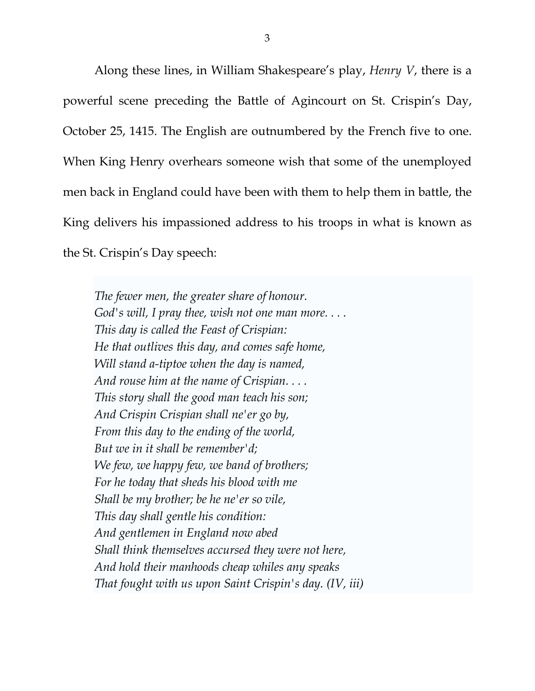Along these lines, in William Shakespeare's play, *Henry V*, there is a powerful scene preceding the Battle of Agincourt on St. Crispin's Day, October 25, 1415. The English are outnumbered by the French five to one. When King Henry overhears someone wish that some of the unemployed men back in England could have been with them to help them in battle, the King delivers his impassioned address to his troops in what is known as the St. Crispin's Day speech:

*The fewer men, the greater share of honour. God's will, I pray thee, wish not one man more. . . . This day is called the Feast of Crispian: He that outlives this day, and comes safe home, Will stand a-tiptoe when the day is named, And rouse him at the name of Crispian. . . . This story shall the good man teach his son; And Crispin Crispian shall ne'er go by, From this day to the ending of the world, But we in it shall be remember'd; We few, we happy few, we band of brothers; For he today that sheds his blood with me Shall be my brother; be he ne'er so vile, This day shall gentle his condition: And gentlemen in England now abed Shall think themselves accursed they were not here, And hold their manhoods cheap whiles any speaks That fought with us upon Saint Crispin's day. (IV, iii)*